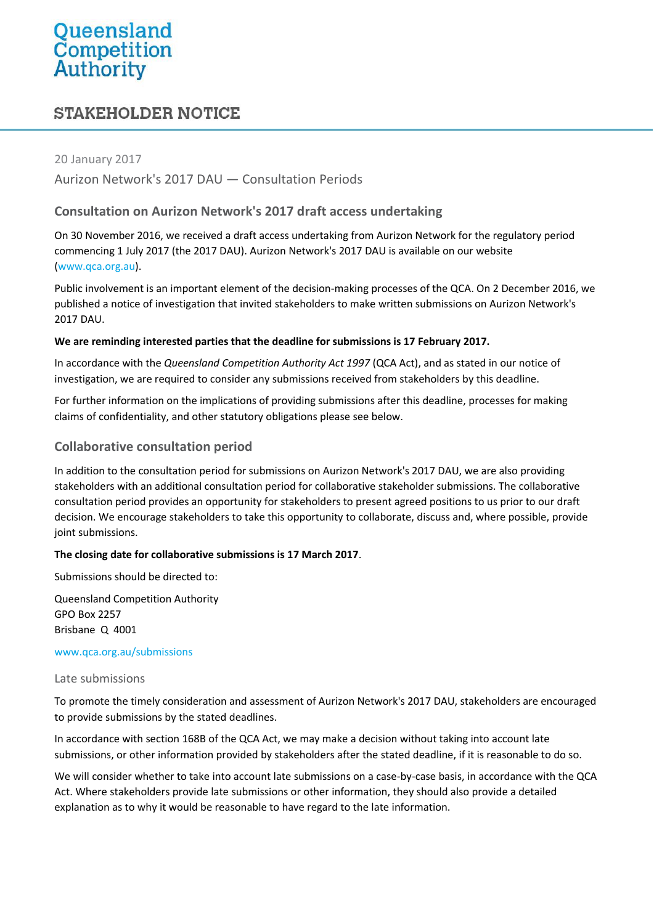# Queensland<br>Competition<br>Authority

# **STAKEHOLDER NOTICE**

#### 20 January 2017

Aurizon Network's 2017 DAU — Consultation Periods

### **Consultation on Aurizon Network's 2017 draft access undertaking**

On 30 November 2016, we received a draft access undertaking from Aurizon Network for the regulatory period commencing 1 July 2017 (the 2017 DAU). Aurizon Network's 2017 DAU is available on our website (www.qca.org.au).

Public involvement is an important element of the decision-making processes of the QCA. On 2 December 2016, we published a notice of investigation that invited stakeholders to make written submissions on Aurizon Network's 2017 DAU.

#### **We are reminding interested parties that the deadline for submissions is 17 February 2017.**

In accordance with the *Queensland Competition Authority Act 1997* (QCA Act), and as stated in our notice of investigation, we are required to consider any submissions received from stakeholders by this deadline.

For further information on the implications of providing submissions after this deadline, processes for making claims of confidentiality, and other statutory obligations please see below.

## **Collaborative consultation period**

In addition to the consultation period for submissions on Aurizon Network's 2017 DAU, we are also providing stakeholders with an additional consultation period for collaborative stakeholder submissions. The collaborative consultation period provides an opportunity for stakeholders to present agreed positions to us prior to our draft decision. We encourage stakeholders to take this opportunity to collaborate, discuss and, where possible, provide joint submissions.

#### **The closing date for collaborative submissions is 17 March 2017**.

Submissions should be directed to:

Queensland Competition Authority GPO Box 2257 Brisbane Q 4001

#### [www.qca.org.au/submissions](http://www.qca.org.au/submissions)

#### Late submissions

To promote the timely consideration and assessment of Aurizon Network's 2017 DAU, stakeholders are encouraged to provide submissions by the stated deadlines.

In accordance with section 168B of the QCA Act, we may make a decision without taking into account late submissions, or other information provided by stakeholders after the stated deadline, if it is reasonable to do so.

We will consider whether to take into account late submissions on a case-by-case basis, in accordance with the QCA Act. Where stakeholders provide late submissions or other information, they should also provide a detailed explanation as to why it would be reasonable to have regard to the late information.